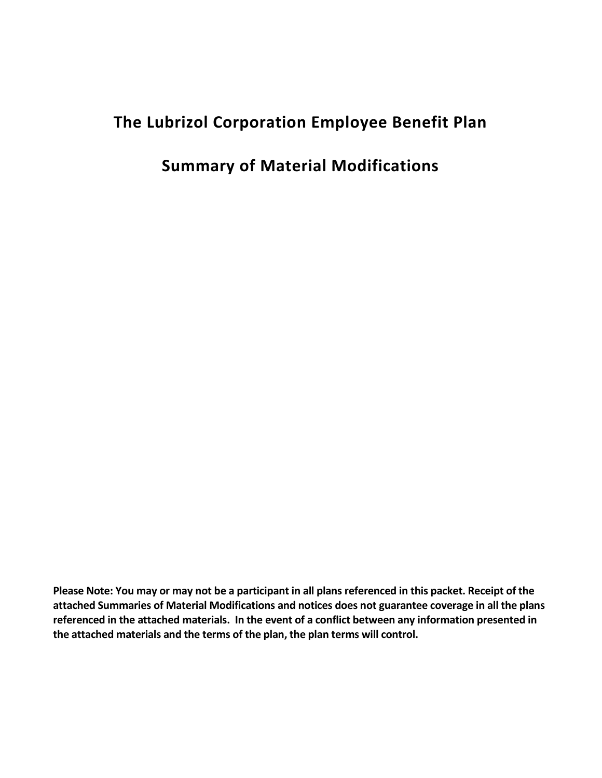# **The Lubrizol Corporation Employee Benefit Plan**

## **Summary of Material Modifications**

**Please Note: You may or may not be a participant in all plans referenced in this packet. Receipt of the attached Summaries of Material Modifications and notices does not guarantee coverage in all the plans referenced in the attached materials. In the event of a conflict between any information presented in the attached materials and the terms of the plan, the plan terms will control.**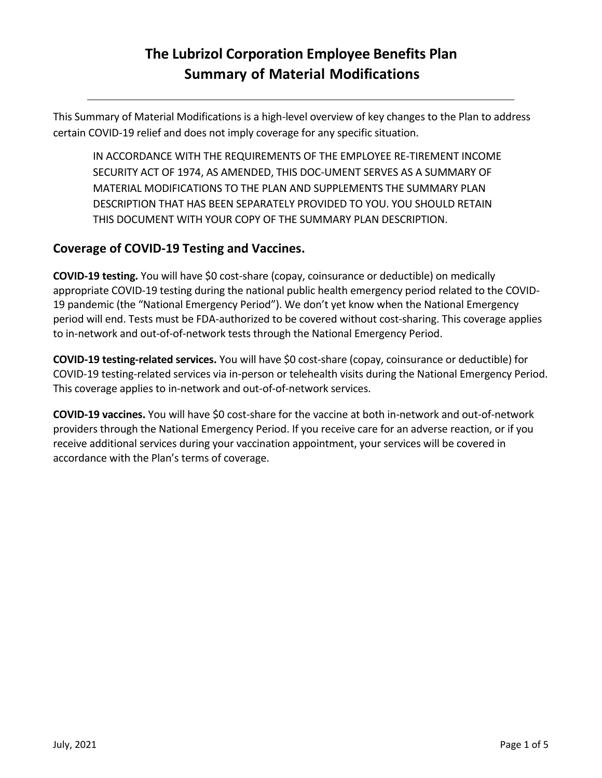## **The Lubrizol Corporation Employee Benefits Plan Summary of Material Modifications**

This Summary of Material Modifications is a high-level overview of key changes to the Plan to address certain COVID-19 relief and does not imply coverage for any specific situation.

IN ACCORDANCE WITH THE REQUIREMENTS OF THE EMPLOYEE RE-TIREMENT INCOME SECURITY ACT OF 1974, AS AMENDED, THIS DOC-UMENT SERVES AS A SUMMARY OF MATERIAL MODIFICATIONS TO THE PLAN AND SUPPLEMENTS THE SUMMARY PLAN DESCRIPTION THAT HAS BEEN SEPARATELY PROVIDED TO YOU. YOU SHOULD RETAIN THIS DOCUMENT WITH YOUR COPY OF THE SUMMARY PLAN DESCRIPTION.

### **Coverage of COVID-19 Testing and Vaccines.**

**COVID-19 testing.** You will have \$0 cost-share (copay, coinsurance or deductible) on medically appropriate COVID-19 testing during the national public health emergency period related to the COVID-19 pandemic (the "National Emergency Period"). We don't yet know when the National Emergency period will end. Tests must be FDA-authorized to be covered without cost-sharing. This coverage applies to in-network and out-of-of-network tests through the National Emergency Period.

**COVID-19 testing-related services.** You will have \$0 cost-share (copay, coinsurance or deductible) for COVID-19 testing-related services via in-person or telehealth visits during the National Emergency Period. This coverage applies to in-network and out-of-of-network services.

**COVID-19 vaccines.** You will have \$0 cost-share for the vaccine at both in-network and out-of-network providers through the National Emergency Period. If you receive care for an adverse reaction, or if you receive additional services during your vaccination appointment, your services will be covered in accordance with the Plan's terms of coverage.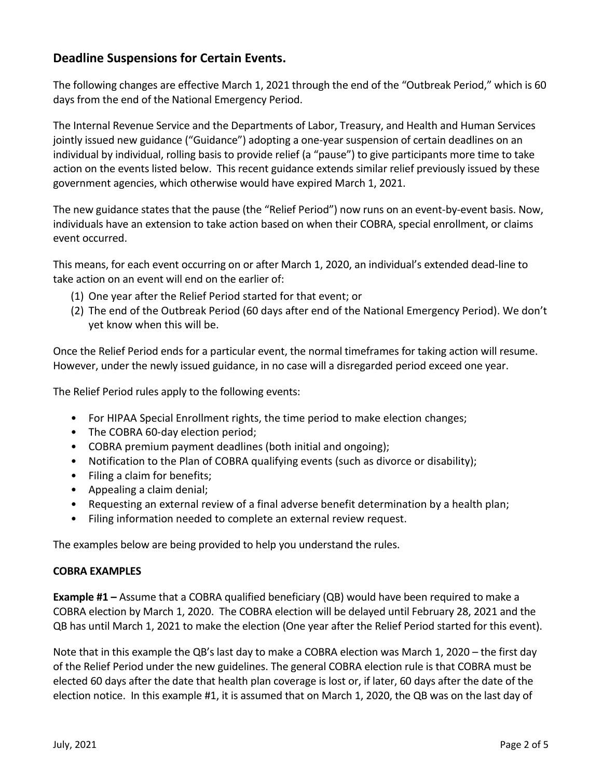### **Deadline Suspensions for Certain Events.**

The following changes are effective March 1, 2021 through the end of the "Outbreak Period," which is 60 days from the end of the National Emergency Period.

The Internal Revenue Service and the Departments of Labor, Treasury, and Health and Human Services jointly issued new guidance ("Guidance") adopting a one-year suspension of certain deadlines on an individual by individual, rolling basis to provide relief (a "pause") to give participants more time to take action on the events listed below. This recent guidance extends similar relief previously issued by these government agencies, which otherwise would have expired March 1, 2021.

The new guidance states that the pause (the "Relief Period") now runs on an event-by-event basis. Now, individuals have an extension to take action based on when their COBRA, special enrollment, or claims event occurred.

This means, for each event occurring on or after March 1, 2020, an individual's extended dead-line to take action on an event will end on the earlier of:

- (1) One year after the Relief Period started for that event; or
- (2) The end of the Outbreak Period (60 days after end of the National Emergency Period). We don't yet know when this will be.

Once the Relief Period ends for a particular event, the normal timeframes for taking action will resume. However, under the newly issued guidance, in no case will a disregarded period exceed one year.

The Relief Period rules apply to the following events:

- For HIPAA Special Enrollment rights, the time period to make election changes;
- The COBRA 60-day election period;
- COBRA premium payment deadlines (both initial and ongoing);
- Notification to the Plan of COBRA qualifying events (such as divorce or disability);
- Filing a claim for benefits;
- Appealing a claim denial;
- Requesting an external review of a final adverse benefit determination by a health plan;
- Filing information needed to complete an external review request.

The examples below are being provided to help you understand the rules.

#### **COBRA EXAMPLES**

**Example #1 –** Assume that a COBRA qualified beneficiary (QB) would have been required to make a COBRA election by March 1, 2020. The COBRA election will be delayed until February 28, 2021 and the QB has until March 1, 2021 to make the election (One year after the Relief Period started for this event).

Note that in this example the QB's last day to make a COBRA election was March 1, 2020 – the first day of the Relief Period under the new guidelines. The general COBRA election rule is that COBRA must be elected 60 days after the date that health plan coverage is lost or, if later, 60 days after the date of the election notice. In this example #1, it is assumed that on March 1, 2020, the QB was on the last day of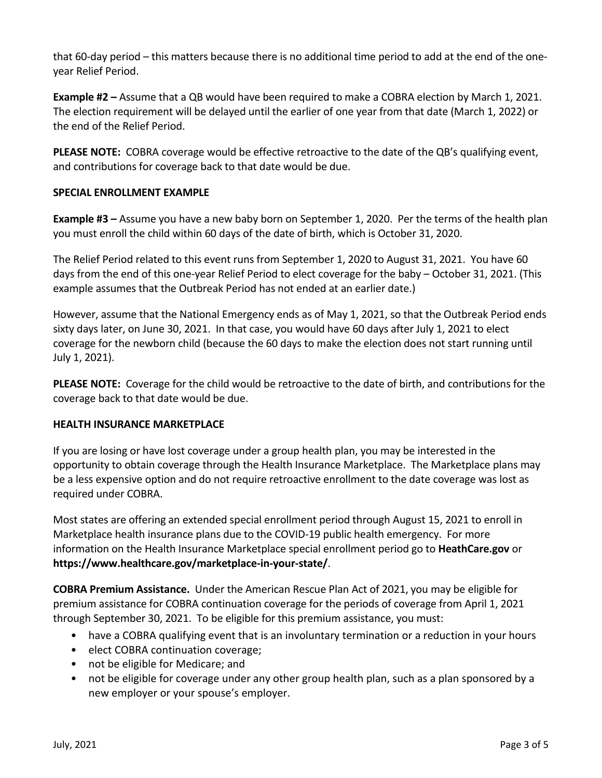that 60-day period – this matters because there is no additional time period to add at the end of the oneyear Relief Period.

**Example #2 –** Assume that a QB would have been required to make a COBRA election by March 1, 2021. The election requirement will be delayed until the earlier of one year from that date (March 1, 2022) or the end of the Relief Period.

**PLEASE NOTE:** COBRA coverage would be effective retroactive to the date of the QB's qualifying event, and contributions for coverage back to that date would be due.

### **SPECIAL ENROLLMENT EXAMPLE**

**Example #3 –** Assume you have a new baby born on September 1, 2020. Per the terms of the health plan you must enroll the child within 60 days of the date of birth, which is October 31, 2020.

The Relief Period related to this event runs from September 1, 2020 to August 31, 2021. You have 60 days from the end of this one-year Relief Period to elect coverage for the baby – October 31, 2021. (This example assumes that the Outbreak Period has not ended at an earlier date.)

However, assume that the National Emergency ends as of May 1, 2021, so that the Outbreak Period ends sixty days later, on June 30, 2021. In that case, you would have 60 days after July 1, 2021 to elect coverage for the newborn child (because the 60 days to make the election does not start running until July 1, 2021).

**PLEASE NOTE:** Coverage for the child would be retroactive to the date of birth, and contributions for the coverage back to that date would be due.

#### **HEALTH INSURANCE MARKETPLACE**

If you are losing or have lost coverage under a group health plan, you may be interested in the opportunity to obtain coverage through the Health Insurance Marketplace. The Marketplace plans may be a less expensive option and do not require retroactive enrollment to the date coverage was lost as required under COBRA.

Most states are offering an extended special enrollment period through August 15, 2021 to enroll in Marketplace health insurance plans due to the COVID-19 public health emergency. For more information on the Health Insurance Marketplace special enrollment period go to **[HeathCare.gov](http://www.healthcare.gov/)** or **<https://www.healthcare.gov/marketplace-in-your-state/>**.

**COBRA Premium Assistance.** Under the American Rescue Plan Act of 2021, you may be eligible for premium assistance for COBRA continuation coverage for the periods of coverage from April 1, 2021 through September 30, 2021. To be eligible for this premium assistance, you must:

- have a COBRA qualifying event that is an involuntary termination or a reduction in your hours
- elect COBRA continuation coverage;
- not be eligible for Medicare; and
- not be eligible for coverage under any other group health plan, such as a plan sponsored by a new employer or your spouse's employer.